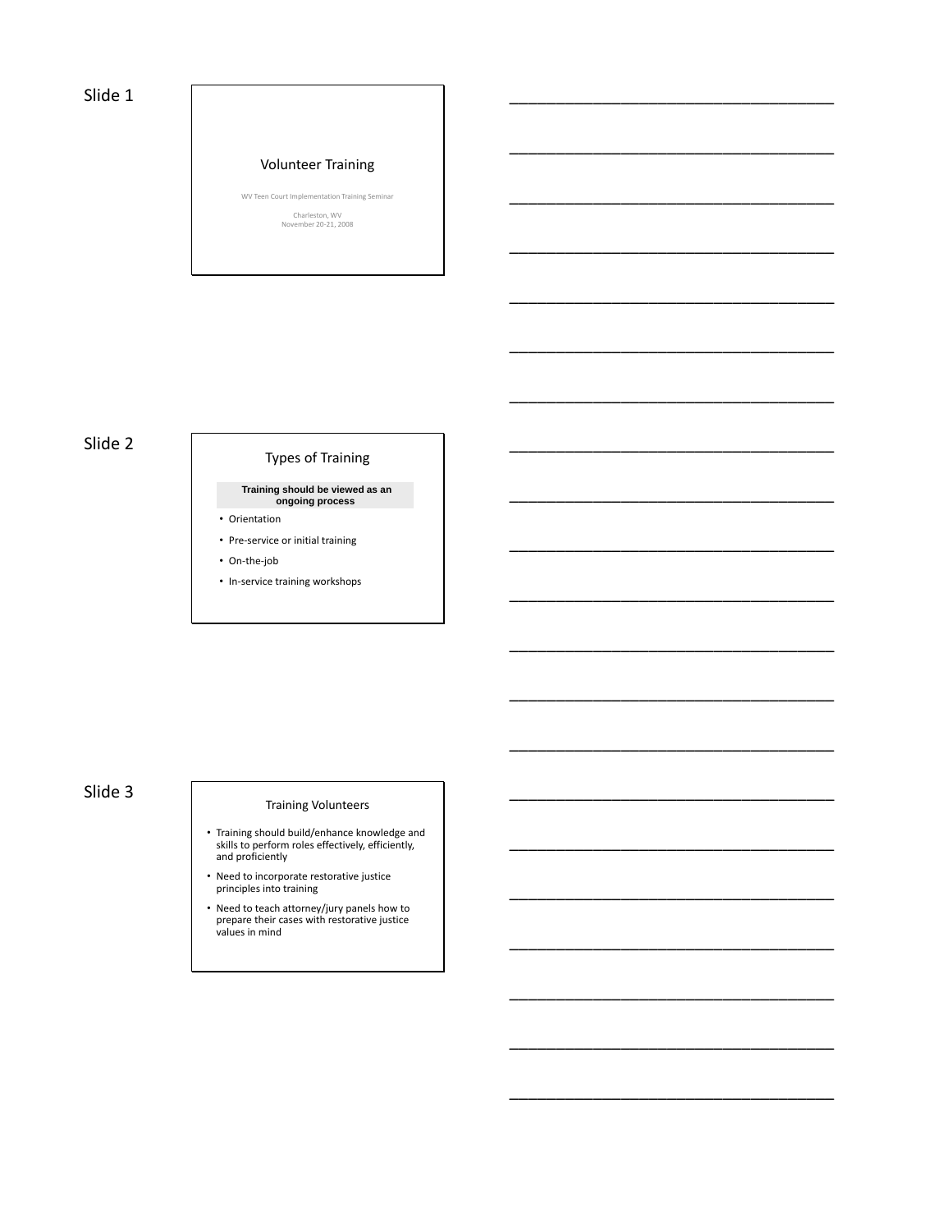### Slide 1

#### Volunteer Training

WV Teen Court Implementation Training Seminar

\_\_\_\_\_\_\_\_\_\_\_\_\_\_\_\_\_\_\_\_\_\_\_\_\_\_\_\_\_\_\_\_\_\_\_

\_\_\_\_\_\_\_\_\_\_\_\_\_\_\_\_\_\_\_\_\_\_\_\_\_\_\_\_\_\_\_\_\_\_\_

\_\_\_\_\_\_\_\_\_\_\_\_\_\_\_\_\_\_\_\_\_\_\_\_\_\_\_\_\_\_\_\_\_\_\_

\_\_\_\_\_\_\_\_\_\_\_\_\_\_\_\_\_\_\_\_\_\_\_\_\_\_\_\_\_\_\_\_\_\_\_

\_\_\_\_\_\_\_\_\_\_\_\_\_\_\_\_\_\_\_\_\_\_\_\_\_\_\_\_\_\_\_\_\_\_\_

\_\_\_\_\_\_\_\_\_\_\_\_\_\_\_\_\_\_\_\_\_\_\_\_\_\_\_\_\_\_\_\_\_\_\_

\_\_\_\_\_\_\_\_\_\_\_\_\_\_\_\_\_\_\_\_\_\_\_\_\_\_\_\_\_\_\_\_\_\_\_

\_\_\_\_\_\_\_\_\_\_\_\_\_\_\_\_\_\_\_\_\_\_\_\_\_\_\_\_\_\_\_\_\_\_\_

\_\_\_\_\_\_\_\_\_\_\_\_\_\_\_\_\_\_\_\_\_\_\_\_\_\_\_\_\_\_\_\_\_\_\_

\_\_\_\_\_\_\_\_\_\_\_\_\_\_\_\_\_\_\_\_\_\_\_\_\_\_\_\_\_\_\_\_\_\_\_

\_\_\_\_\_\_\_\_\_\_\_\_\_\_\_\_\_\_\_\_\_\_\_\_\_\_\_\_\_\_\_\_\_\_\_

\_\_\_\_\_\_\_\_\_\_\_\_\_\_\_\_\_\_\_\_\_\_\_\_\_\_\_\_\_\_\_\_\_\_\_

\_\_\_\_\_\_\_\_\_\_\_\_\_\_\_\_\_\_\_\_\_\_\_\_\_\_\_\_\_\_\_\_\_\_\_

\_\_\_\_\_\_\_\_\_\_\_\_\_\_\_\_\_\_\_\_\_\_\_\_\_\_\_\_\_\_\_\_\_\_\_

\_\_\_\_\_\_\_\_\_\_\_\_\_\_\_\_\_\_\_\_\_\_\_\_\_\_\_\_\_\_\_\_\_\_\_

\_\_\_\_\_\_\_\_\_\_\_\_\_\_\_\_\_\_\_\_\_\_\_\_\_\_\_\_\_\_\_\_\_\_\_

\_\_\_\_\_\_\_\_\_\_\_\_\_\_\_\_\_\_\_\_\_\_\_\_\_\_\_\_\_\_\_\_\_\_\_

\_\_\_\_\_\_\_\_\_\_\_\_\_\_\_\_\_\_\_\_\_\_\_\_\_\_\_\_\_\_\_\_\_\_\_

\_\_\_\_\_\_\_\_\_\_\_\_\_\_\_\_\_\_\_\_\_\_\_\_\_\_\_\_\_\_\_\_\_\_\_

\_\_\_\_\_\_\_\_\_\_\_\_\_\_\_\_\_\_\_\_\_\_\_\_\_\_\_\_\_\_\_\_\_\_\_

\_\_\_\_\_\_\_\_\_\_\_\_\_\_\_\_\_\_\_\_\_\_\_\_\_\_\_\_\_\_\_\_\_\_\_

Charleston, WV November 20-21, 2008

# Slide 2

# Types of Training

**Training should be viewed as an ongoing process**

• Orientation

- Pre-service or initial training
- On-the-job
- In-service training workshops

# Slide 3

#### Training Volunteers

- Training should build/enhance knowledge and skills to perform roles effectively, efficiently, and proficiently
- Need to incorporate restorative justice principles into training
- Need to teach attorney/jury panels how to prepare their cases with restorative justice values in mind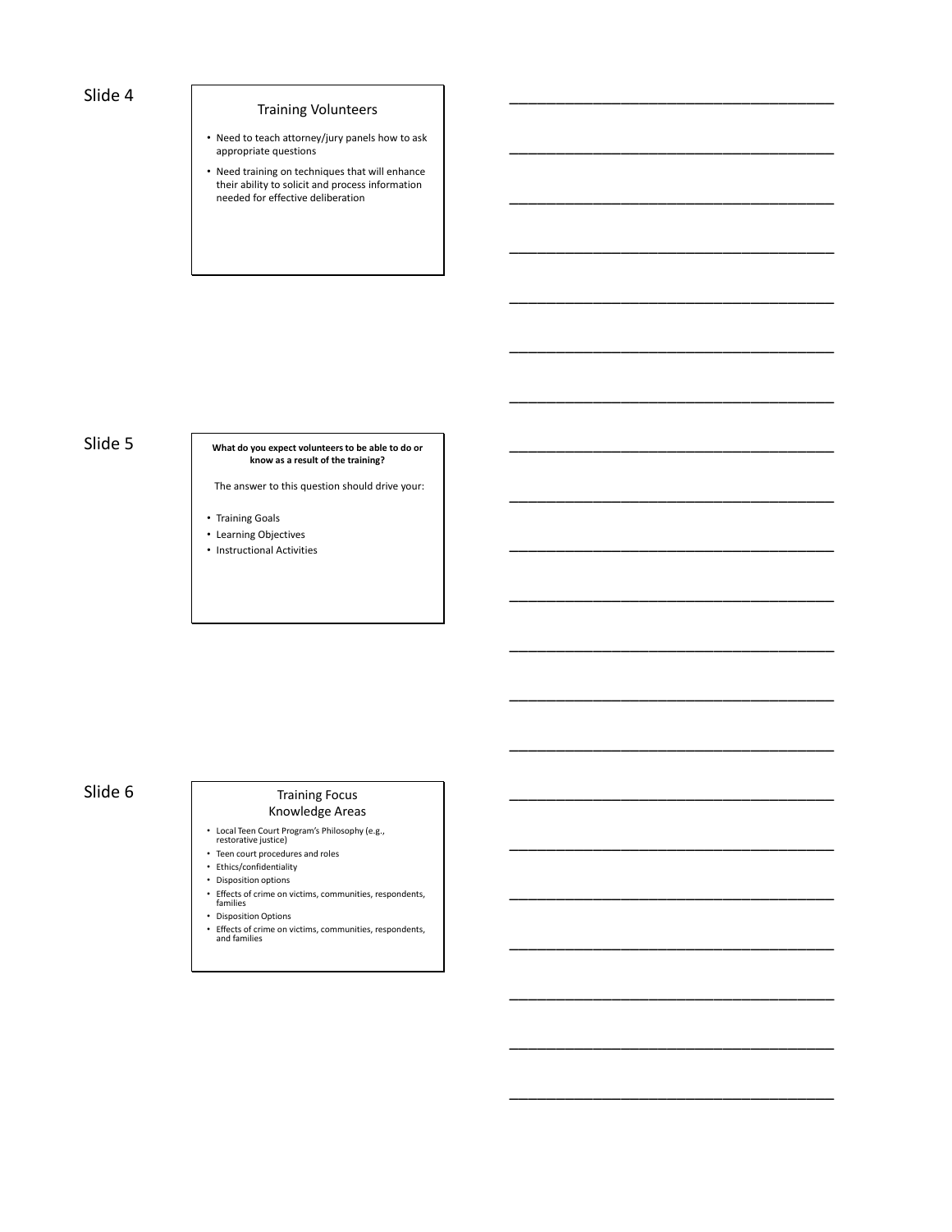### Slide 4

### Training Volunteers

\_\_\_\_\_\_\_\_\_\_\_\_\_\_\_\_\_\_\_\_\_\_\_\_\_\_\_\_\_\_\_\_\_\_\_

\_\_\_\_\_\_\_\_\_\_\_\_\_\_\_\_\_\_\_\_\_\_\_\_\_\_\_\_\_\_\_\_\_\_\_

\_\_\_\_\_\_\_\_\_\_\_\_\_\_\_\_\_\_\_\_\_\_\_\_\_\_\_\_\_\_\_\_\_\_\_

\_\_\_\_\_\_\_\_\_\_\_\_\_\_\_\_\_\_\_\_\_\_\_\_\_\_\_\_\_\_\_\_\_\_\_

\_\_\_\_\_\_\_\_\_\_\_\_\_\_\_\_\_\_\_\_\_\_\_\_\_\_\_\_\_\_\_\_\_\_\_

\_\_\_\_\_\_\_\_\_\_\_\_\_\_\_\_\_\_\_\_\_\_\_\_\_\_\_\_\_\_\_\_\_\_\_

\_\_\_\_\_\_\_\_\_\_\_\_\_\_\_\_\_\_\_\_\_\_\_\_\_\_\_\_\_\_\_\_\_\_\_

\_\_\_\_\_\_\_\_\_\_\_\_\_\_\_\_\_\_\_\_\_\_\_\_\_\_\_\_\_\_\_\_\_\_\_

\_\_\_\_\_\_\_\_\_\_\_\_\_\_\_\_\_\_\_\_\_\_\_\_\_\_\_\_\_\_\_\_\_\_\_

\_\_\_\_\_\_\_\_\_\_\_\_\_\_\_\_\_\_\_\_\_\_\_\_\_\_\_\_\_\_\_\_\_\_\_

\_\_\_\_\_\_\_\_\_\_\_\_\_\_\_\_\_\_\_\_\_\_\_\_\_\_\_\_\_\_\_\_\_\_\_

\_\_\_\_\_\_\_\_\_\_\_\_\_\_\_\_\_\_\_\_\_\_\_\_\_\_\_\_\_\_\_\_\_\_\_

\_\_\_\_\_\_\_\_\_\_\_\_\_\_\_\_\_\_\_\_\_\_\_\_\_\_\_\_\_\_\_\_\_\_\_

\_\_\_\_\_\_\_\_\_\_\_\_\_\_\_\_\_\_\_\_\_\_\_\_\_\_\_\_\_\_\_\_\_\_\_

\_\_\_\_\_\_\_\_\_\_\_\_\_\_\_\_\_\_\_\_\_\_\_\_\_\_\_\_\_\_\_\_\_\_\_

\_\_\_\_\_\_\_\_\_\_\_\_\_\_\_\_\_\_\_\_\_\_\_\_\_\_\_\_\_\_\_\_\_\_\_

\_\_\_\_\_\_\_\_\_\_\_\_\_\_\_\_\_\_\_\_\_\_\_\_\_\_\_\_\_\_\_\_\_\_\_

\_\_\_\_\_\_\_\_\_\_\_\_\_\_\_\_\_\_\_\_\_\_\_\_\_\_\_\_\_\_\_\_\_\_\_

\_\_\_\_\_\_\_\_\_\_\_\_\_\_\_\_\_\_\_\_\_\_\_\_\_\_\_\_\_\_\_\_\_\_\_

\_\_\_\_\_\_\_\_\_\_\_\_\_\_\_\_\_\_\_\_\_\_\_\_\_\_\_\_\_\_\_\_\_\_\_

\_\_\_\_\_\_\_\_\_\_\_\_\_\_\_\_\_\_\_\_\_\_\_\_\_\_\_\_\_\_\_\_\_\_\_

- Need to teach attorney/jury panels how to ask appropriate questions
- Need training on techniques that will enhance their ability to solicit and process information needed for effective deliberation

#### Slide 5 **What do you expect volunteers to be able to do or know as a result of the training?**

The answer to this question should drive your:

- Training Goals
- Learning Objectives
- Instructional Activities

# Slide 6 Training Focus

# Knowledge Areas

- 
- Local Teen Court Program's Philosophy (e.g., restorative justice)
- Teen court procedures and roles
- Ethics/confidentiality
- Disposition options
- Effects of crime on victims, communities, respondents, families
- Disposition Options
- Effects of crime on victims, communities, respondents, and families